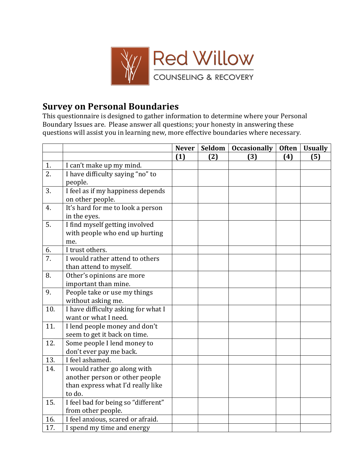

## **Survey on Personal Boundaries**

This questionnaire is designed to gather information to determine where your Personal Boundary Issues are. Please answer all questions; your honesty in answering these questions will assist you in learning new, more effective boundaries where necessary.

|                  |                                                                                                               | <b>Never</b> | Seldom | <b>Occasionally</b> | <b>Often</b> | <b>Usually</b> |
|------------------|---------------------------------------------------------------------------------------------------------------|--------------|--------|---------------------|--------------|----------------|
|                  |                                                                                                               | (1)          | (2)    | (3)                 | (4)          | (5)            |
| 1.               | I can't make up my mind.                                                                                      |              |        |                     |              |                |
| 2.               | I have difficulty saying "no" to<br>people.                                                                   |              |        |                     |              |                |
| 3.               | I feel as if my happiness depends<br>on other people.                                                         |              |        |                     |              |                |
| 4.               | It's hard for me to look a person<br>in the eyes.                                                             |              |        |                     |              |                |
| 5.               | I find myself getting involved<br>with people who end up hurting<br>me.                                       |              |        |                     |              |                |
| 6.               | I trust others.                                                                                               |              |        |                     |              |                |
| $\overline{7}$ . | I would rather attend to others<br>than attend to myself.                                                     |              |        |                     |              |                |
| 8.               | Other's opinions are more<br>important than mine.                                                             |              |        |                     |              |                |
| 9.               | People take or use my things<br>without asking me.                                                            |              |        |                     |              |                |
| 10.              | I have difficulty asking for what I<br>want or what I need.                                                   |              |        |                     |              |                |
| 11.              | I lend people money and don't<br>seem to get it back on time.                                                 |              |        |                     |              |                |
| 12.              | Some people I lend money to<br>don't ever pay me back.                                                        |              |        |                     |              |                |
| 13.              | I feel ashamed.                                                                                               |              |        |                     |              |                |
| 14.              | I would rather go along with<br>another person or other people<br>than express what I'd really like<br>to do. |              |        |                     |              |                |
| 15.              | I feel bad for being so "different"<br>from other people.                                                     |              |        |                     |              |                |
| 16.              | I feel anxious, scared or afraid.                                                                             |              |        |                     |              |                |
| 17.              | I spend my time and energy                                                                                    |              |        |                     |              |                |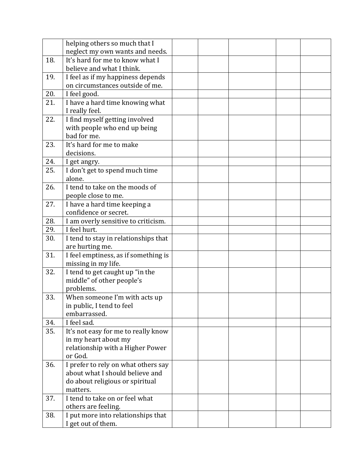|     | helping others so much that I                                          |  |  |  |
|-----|------------------------------------------------------------------------|--|--|--|
|     | neglect my own wants and needs.                                        |  |  |  |
| 18. | It's hard for me to know what I                                        |  |  |  |
|     | believe and what I think.                                              |  |  |  |
| 19. | I feel as if my happiness depends                                      |  |  |  |
|     | on circumstances outside of me.                                        |  |  |  |
| 20. | I feel good.                                                           |  |  |  |
| 21. | I have a hard time knowing what                                        |  |  |  |
|     | I really feel.                                                         |  |  |  |
| 22. | I find myself getting involved                                         |  |  |  |
|     | with people who end up being                                           |  |  |  |
|     | bad for me.                                                            |  |  |  |
| 23. | It's hard for me to make                                               |  |  |  |
|     | decisions.                                                             |  |  |  |
| 24. | I get angry.                                                           |  |  |  |
| 25. | I don't get to spend much time                                         |  |  |  |
|     | alone.                                                                 |  |  |  |
| 26. | I tend to take on the moods of                                         |  |  |  |
|     | people close to me.                                                    |  |  |  |
| 27. | I have a hard time keeping a                                           |  |  |  |
|     | confidence or secret.                                                  |  |  |  |
| 28. | I am overly sensitive to criticism.                                    |  |  |  |
| 29. | I feel hurt.                                                           |  |  |  |
| 30. | I tend to stay in relationships that                                   |  |  |  |
|     | are hurting me.                                                        |  |  |  |
| 31. | I feel emptiness, as if something is                                   |  |  |  |
|     | missing in my life.                                                    |  |  |  |
| 32. | I tend to get caught up "in the                                        |  |  |  |
|     | middle" of other people's                                              |  |  |  |
|     | problems.                                                              |  |  |  |
| 33. | When someone I'm with acts up                                          |  |  |  |
|     | in public, I tend to feel                                              |  |  |  |
|     | embarrassed.                                                           |  |  |  |
| 34. | I feel sad.                                                            |  |  |  |
| 35. | It's not easy for me to really know                                    |  |  |  |
|     | in my heart about my                                                   |  |  |  |
|     | relationship with a Higher Power<br>or God.                            |  |  |  |
|     |                                                                        |  |  |  |
| 36. | I prefer to rely on what others say<br>about what I should believe and |  |  |  |
|     | do about religious or spiritual                                        |  |  |  |
|     | matters.                                                               |  |  |  |
| 37. | I tend to take on or feel what                                         |  |  |  |
|     | others are feeling.                                                    |  |  |  |
| 38. | I put more into relationships that                                     |  |  |  |
|     | I get out of them.                                                     |  |  |  |
|     |                                                                        |  |  |  |